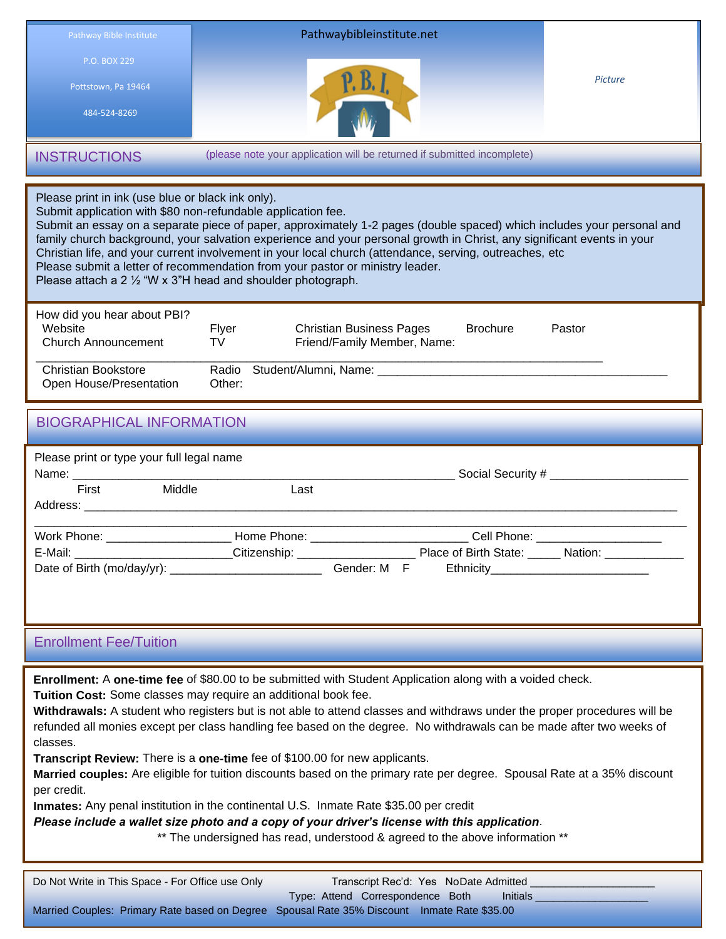

Please print in ink (use blue or black ink only).

Submit application with \$80 non-refundable application fee.

Submit an essay on a separate piece of paper, approximately 1-2 pages (double spaced) which includes your personal and family church background, your salvation experience and your personal growth in Christ, any significant events in your Christian life, and your current involvement in your local church (attendance, serving, outreaches, etc Please submit a letter of recommendation from your pastor or ministry leader.

Please attach a 2 ½ "W x 3"H head and shoulder photograph.

| How did you hear about PBI?<br>Website<br>Church Announcement | Flver<br>TV | <b>Christian Business Pages</b><br>Friend/Family Member, Name: | <b>Brochure</b> | Pastor |
|---------------------------------------------------------------|-------------|----------------------------------------------------------------|-----------------|--------|
| Christian Bookstore<br>Open House/Presentation                | Other:      | Radio Student/Alumni, Name:                                    |                 |        |

## BIOGRAPHICAL INFORMATION

| Please print or type your full legal name |        |      | Social Security # _________________                                       |  |
|-------------------------------------------|--------|------|---------------------------------------------------------------------------|--|
| First                                     | Middle | Last |                                                                           |  |
|                                           |        |      |                                                                           |  |
| Work Phone: _______________________       |        |      | _Home Phone: ___________________________Cell Phone: _____________________ |  |
|                                           |        |      | E-Mail: Citizenship: Citizenship: Place of Birth State: Nation: Nation:   |  |
|                                           |        |      | Gender: M F                                                               |  |

### Enrollment Fee/Tuition

**Enrollment:** A **one-time fee** of \$80.00 to be submitted with Student Application along with a voided check.

**Tuition Cost:** Some classes may require an additional book fee.

**Withdrawals:** A student who registers but is not able to attend classes and withdraws under the proper procedures will be refunded all monies except per class handling fee based on the degree. No withdrawals can be made after two weeks of classes.

**Transcript Review:** There is a **one-time** fee of \$100.00 for new applicants.

**Married couples:** Are eligible for tuition discounts based on the primary rate per degree. Spousal Rate at a 35% discount per credit.

**Inmates:** Any penal institution in the continental U.S. Inmate Rate \$35.00 per credit

*Please include a wallet size photo and a copy of your driver's license with this application*.

\*\* The undersigned has read, understood & agreed to the above information \*\*

| Do Not Write in This Space - For Office use Only | Transcript Rec'd: Yes NoDate Admitted                                                       |
|--------------------------------------------------|---------------------------------------------------------------------------------------------|
|                                                  | Type: Attend Correspondence Both<br><b>Initials</b>                                         |
|                                                  | Married Couples: Primary Rate based on Degree Spousal Rate 35% Discount Inmate Rate \$35.00 |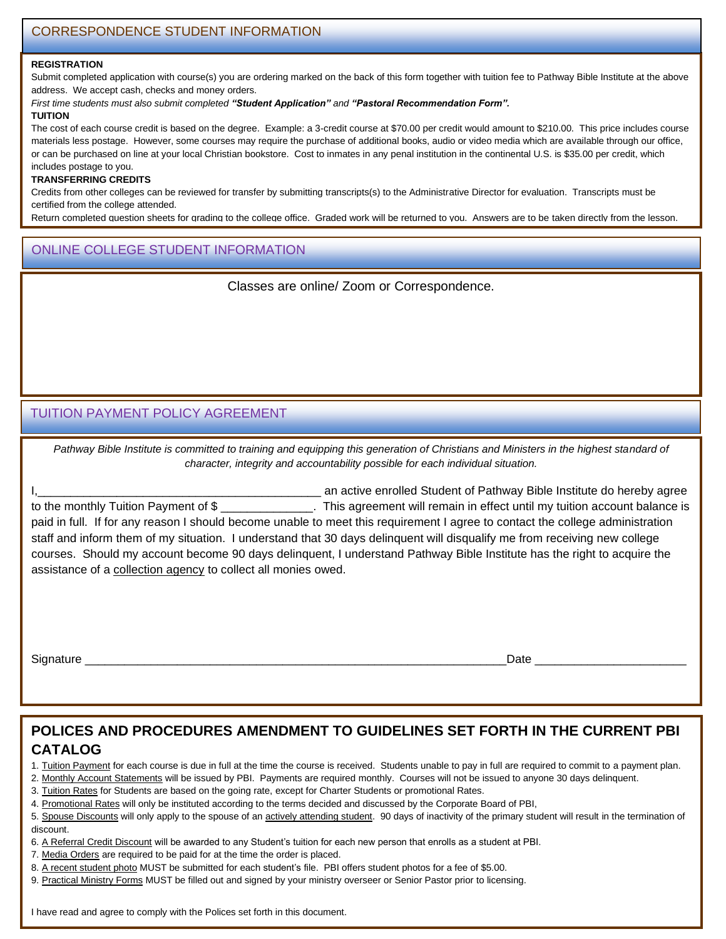#### **REGISTRATION**

Submit completed application with course(s) you are ordering marked on the back of this form together with tuition fee to Pathway Bible Institute at the above address. We accept cash, checks and money orders.

*First time students must also submit completed "Student Application" and "Pastoral Recommendation Form".*

#### **TUITION**

The cost of each course credit is based on the degree. Example: a 3-credit course at \$70.00 per credit would amount to \$210.00. This price includes course materials less postage. However, some courses may require the purchase of additional books, audio or video media which are available through our office, or can be purchased on line at your local Christian bookstore. Cost to inmates in any penal institution in the continental U.S. is \$35.00 per credit, which includes postage to you.

### **TRANSFERRING CREDITS**

Credits from other colleges can be reviewed for transfer by submitting transcripts(s) to the Administrative Director for evaluation. Transcripts must be certified from the college attended.

Return completed question sheets for grading to the college office. Graded work will be returned to you. Answers are to be taken directly from the lesson.

## ONLINE COLLEGE STUDENT INFORMATION

"Definitions" asked for must be complete. Points are deducted for incomplete answers.

Classes are online/ Zoom or Correspondence.

### TUITION PAYMENT POLICY AGREEMENT

Pathway Bible Institute is committed to training and equipping this generation of Christians and Ministers in the highest standard of *character, integrity and accountability possible for each individual situation.*

I, the same of the state of the student of Pathway Bible Institute do hereby agree to the monthly Tuition Payment of \$ paid in full. If for any reason I should become unable to meet this requirement I agree to contact the college administration staff and inform them of my situation. I understand that 30 days delinquent will disqualify me from receiving new college courses. Should my account become 90 days delinquent, I understand Pathway Bible Institute has the right to acquire the assistance of a collection agency to collect all monies owed.

Signature \_\_\_\_\_\_\_\_\_\_\_\_\_\_\_\_\_\_\_\_\_\_\_\_\_\_\_\_\_\_\_\_\_\_\_\_\_\_\_\_\_\_\_\_\_\_\_\_\_\_\_\_\_\_\_\_\_\_\_\_\_\_\_\_Date \_\_\_\_\_\_\_\_\_\_\_\_\_\_\_\_\_\_\_\_\_\_\_

# **POLICES AND PROCEDURES AMENDMENT TO GUIDELINES SET FORTH IN THE CURRENT PBI CATALOG**

1. Tuition Payment for each course is due in full at the time the course is received. Students unable to pay in full are required to commit to a payment plan.

2. Monthly Account Statements will be issued by PBI. Payments are required monthly. Courses will not be issued to anyone 30 days delinquent.

3. Tuition Rates for Students are based on the going rate, except for Charter Students or promotional Rates.

- 4. Promotional Rates will only be instituted according to the terms decided and discussed by the Corporate Board of PBI,
- 5. Spouse Discounts will only apply to the spouse of an actively attending student. 90 days of inactivity of the primary student will result in the termination of discount.
- 6. A Referral Credit Discount will be awarded to any Student's tuition for each new person that enrolls as a student at PBI.
- 7. Media Orders are required to be paid for at the time the order is placed.
- 8. A recent student photo MUST be submitted for each student's file. PBI offers student photos for a fee of \$5.00.
- 9. Practical Ministry Forms MUST be filled out and signed by your ministry overseer or Senior Pastor prior to licensing.

I have read and agree to comply with the Polices set forth in this document.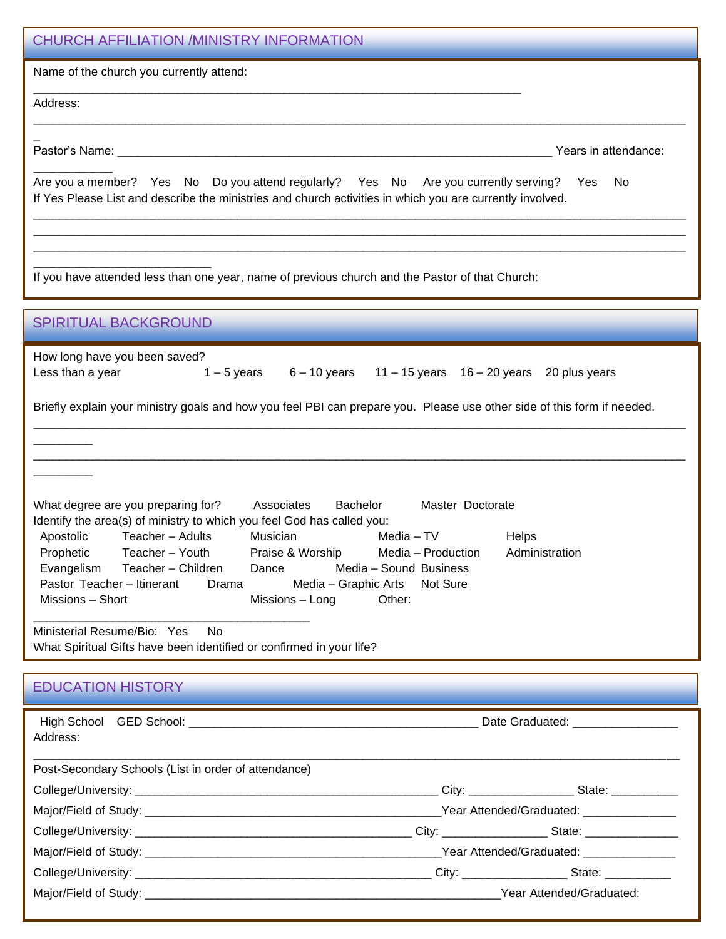| <b>CHURCH AFFILIATION /MINISTRY INFORMATION</b>                                                                                                                                                                                                                                                                                                                                                                                                                                                                               |  |  |  |  |
|-------------------------------------------------------------------------------------------------------------------------------------------------------------------------------------------------------------------------------------------------------------------------------------------------------------------------------------------------------------------------------------------------------------------------------------------------------------------------------------------------------------------------------|--|--|--|--|
| Name of the church you currently attend:                                                                                                                                                                                                                                                                                                                                                                                                                                                                                      |  |  |  |  |
| Address:                                                                                                                                                                                                                                                                                                                                                                                                                                                                                                                      |  |  |  |  |
|                                                                                                                                                                                                                                                                                                                                                                                                                                                                                                                               |  |  |  |  |
| Years in attendance:                                                                                                                                                                                                                                                                                                                                                                                                                                                                                                          |  |  |  |  |
| Are you a member? Yes No Do you attend regularly? Yes No Are you currently serving? Yes<br>- No<br>If Yes Please List and describe the ministries and church activities in which you are currently involved.                                                                                                                                                                                                                                                                                                                  |  |  |  |  |
|                                                                                                                                                                                                                                                                                                                                                                                                                                                                                                                               |  |  |  |  |
| If you have attended less than one year, name of previous church and the Pastor of that Church:                                                                                                                                                                                                                                                                                                                                                                                                                               |  |  |  |  |
| <b>SPIRITUAL BACKGROUND</b>                                                                                                                                                                                                                                                                                                                                                                                                                                                                                                   |  |  |  |  |
| How long have you been saved?<br>Less than a year<br>$1-5$ years $6-10$ years $11-15$ years $16-20$ years 20 plus years                                                                                                                                                                                                                                                                                                                                                                                                       |  |  |  |  |
| Briefly explain your ministry goals and how you feel PBI can prepare you. Please use other side of this form if needed.                                                                                                                                                                                                                                                                                                                                                                                                       |  |  |  |  |
|                                                                                                                                                                                                                                                                                                                                                                                                                                                                                                                               |  |  |  |  |
|                                                                                                                                                                                                                                                                                                                                                                                                                                                                                                                               |  |  |  |  |
| Bachelor<br>Master Doctorate<br>What degree are you preparing for?<br>Associates<br>Identify the area(s) of ministry to which you feel God has called you:<br>Teacher - Adults<br>Musician<br>Media - TV<br>Apostolic<br>Helps<br>Prophetic<br>Teacher - Youth<br>Administration<br>Praise & Worship<br>Media - Production<br>Evangelism<br>Teacher - Children<br>Media - Sound Business<br>Dance<br>Pastor Teacher - Itinerant<br>Media - Graphic Arts<br>Not Sure<br>Drama<br>Missions - Short<br>Other:<br>Missions - Long |  |  |  |  |
| Ministerial Resume/Bio: Yes<br>No.<br>What Spiritual Gifts have been identified or confirmed in your life?                                                                                                                                                                                                                                                                                                                                                                                                                    |  |  |  |  |
| <b>EDUCATION HISTORY</b>                                                                                                                                                                                                                                                                                                                                                                                                                                                                                                      |  |  |  |  |
| Date Graduated: _________________<br>Address:                                                                                                                                                                                                                                                                                                                                                                                                                                                                                 |  |  |  |  |
| Post-Secondary Schools (List in order of attendance)                                                                                                                                                                                                                                                                                                                                                                                                                                                                          |  |  |  |  |
|                                                                                                                                                                                                                                                                                                                                                                                                                                                                                                                               |  |  |  |  |
|                                                                                                                                                                                                                                                                                                                                                                                                                                                                                                                               |  |  |  |  |
|                                                                                                                                                                                                                                                                                                                                                                                                                                                                                                                               |  |  |  |  |
|                                                                                                                                                                                                                                                                                                                                                                                                                                                                                                                               |  |  |  |  |

 $\mathcal{L}_\text{max}$  and  $\mathcal{L}_\text{max}$ 

Major/Field of Study: \_\_\_\_\_\_\_\_\_\_\_\_\_\_\_\_\_\_\_\_\_\_\_\_\_\_\_\_\_\_\_\_\_\_\_\_\_\_\_\_\_\_\_\_\_\_\_\_\_\_\_\_\_\_Year Attended/Graduated: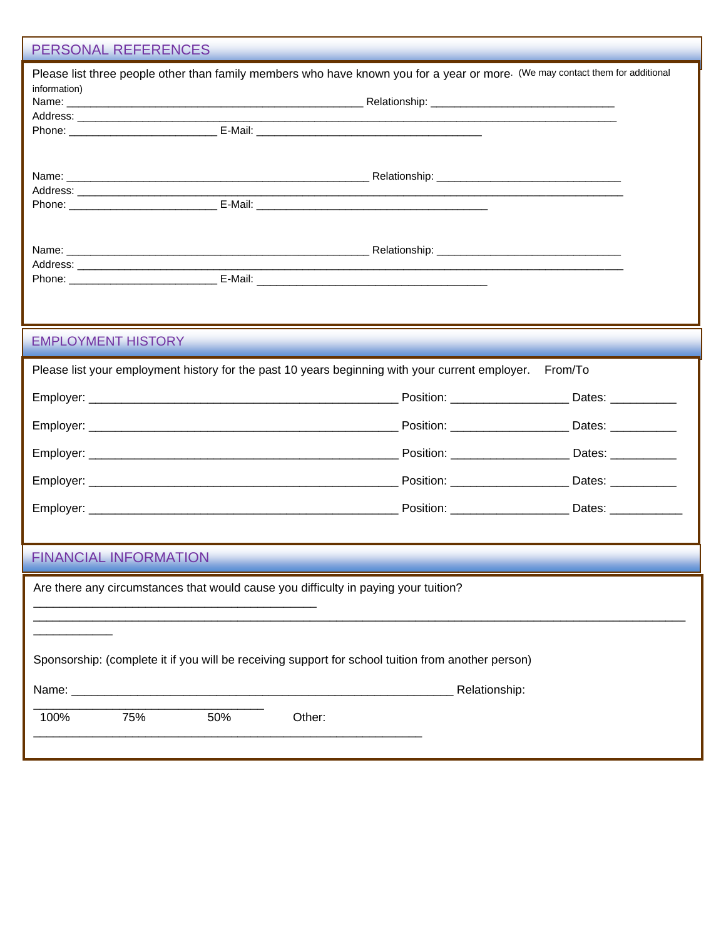### PERSONAL REFERENCES

| Please list three people other than family members who have known you for a year or more. (We may contact them for additional<br>information) |               |  |  |  |
|-----------------------------------------------------------------------------------------------------------------------------------------------|---------------|--|--|--|
|                                                                                                                                               |               |  |  |  |
| <b>EMPLOYMENT HISTORY</b>                                                                                                                     |               |  |  |  |
| Please list your employment history for the past 10 years beginning with your current employer. From/To                                       |               |  |  |  |
|                                                                                                                                               |               |  |  |  |
|                                                                                                                                               |               |  |  |  |
|                                                                                                                                               |               |  |  |  |
|                                                                                                                                               |               |  |  |  |
|                                                                                                                                               |               |  |  |  |
| <b>FINANCIAL INFORMATION</b>                                                                                                                  |               |  |  |  |
| Are there any circumstances that would cause you difficulty in paying your tuition?                                                           |               |  |  |  |
|                                                                                                                                               |               |  |  |  |
| Sponsorship: (complete it if you will be receiving support for school tuition from another person)                                            |               |  |  |  |
|                                                                                                                                               | Relationship: |  |  |  |
| 100%<br>75%<br>50%<br>Other:                                                                                                                  |               |  |  |  |
|                                                                                                                                               |               |  |  |  |